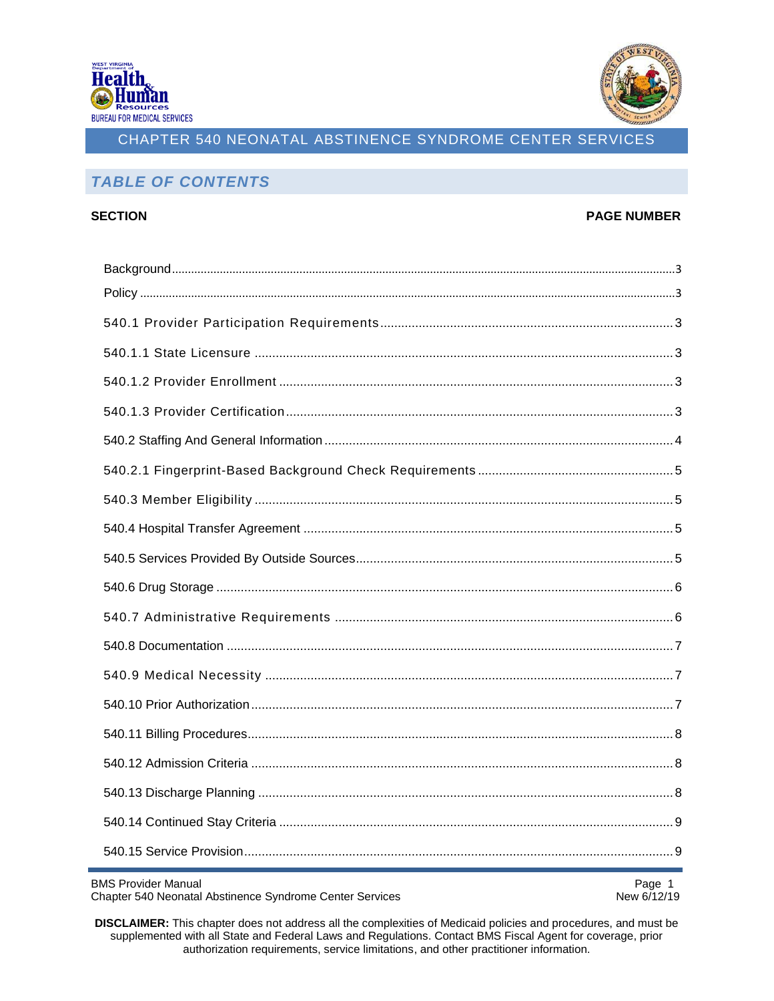



### **TABLE OF CONTENTS**

#### **SECTION**

#### **PAGE NUMBER**

**BMS Provider Manual** 

Chapter 540 Neonatal Abstinence Syndrome Center Services

Page 1 New 6/12/19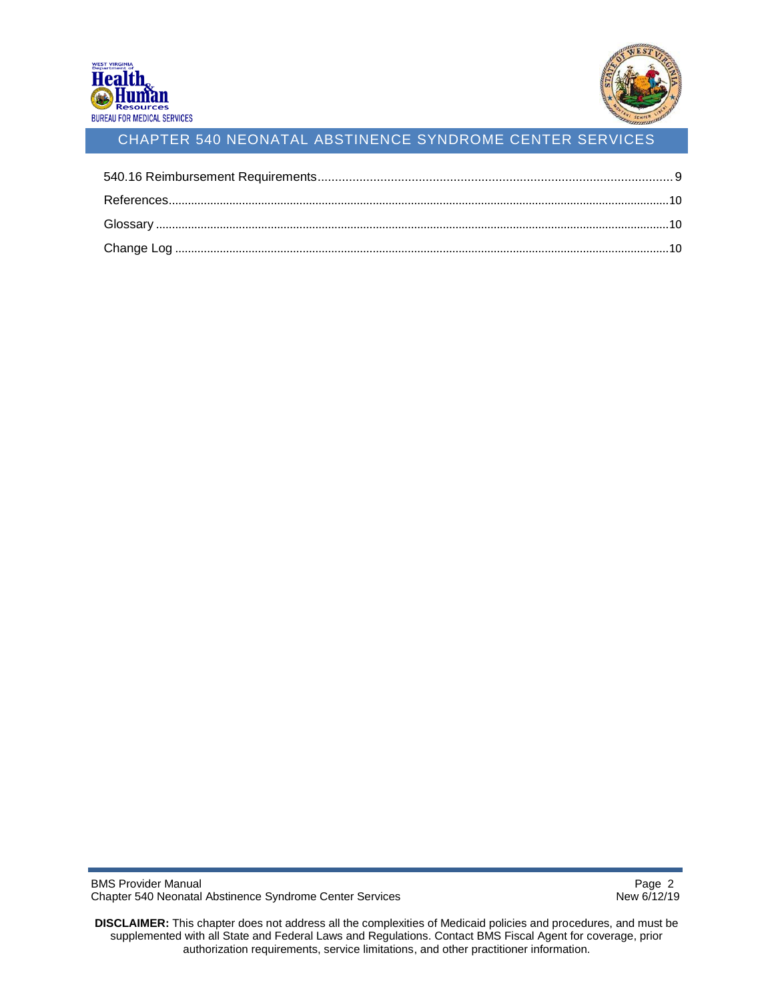

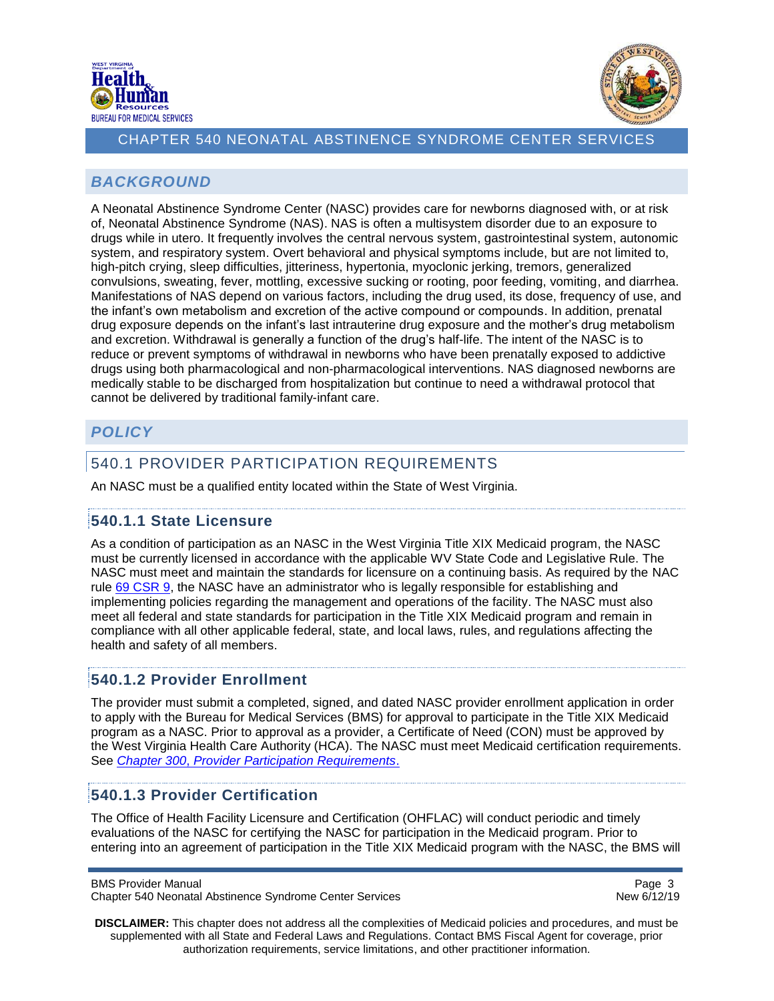



### <span id="page-2-0"></span>*BACKGROUND*

A Neonatal Abstinence Syndrome Center (NASC) provides care for newborns diagnosed with, or at risk of, Neonatal Abstinence Syndrome (NAS). NAS is often a multisystem disorder due to an exposure to drugs while in utero. It frequently involves the central nervous system, gastrointestinal system, autonomic system, and respiratory system. Overt behavioral and physical symptoms include, but are not limited to, high-pitch crying, sleep difficulties, jitteriness, hypertonia, myoclonic jerking, tremors, generalized convulsions, sweating, fever, mottling, excessive sucking or rooting, poor feeding, vomiting, and diarrhea. Manifestations of NAS depend on various factors, including the drug used, its dose, frequency of use, and the infant's own metabolism and excretion of the active compound or compounds. In addition, prenatal drug exposure depends on the infant's last intrauterine drug exposure and the mother's drug metabolism and excretion. Withdrawal is generally a function of the drug's half-life. The intent of the NASC is to reduce or prevent symptoms of withdrawal in newborns who have been prenatally exposed to addictive drugs using both pharmacological and non-pharmacological interventions. NAS diagnosed newborns are medically stable to be discharged from hospitalization but continue to need a withdrawal protocol that cannot be delivered by traditional family-infant care.

# <span id="page-2-1"></span>*POLICY*

# <span id="page-2-2"></span>540.1 PROVIDER PARTICIPATION REQUIREMENTS

An NASC must be a qualified entity located within the State of West Virginia.

### <span id="page-2-3"></span>**540.1.1 State Licensure**

As a condition of participation as an NASC in the West Virginia Title XIX Medicaid program, the NASC must be currently licensed in accordance with the applicable WV State Code and Legislative Rule. The NASC must meet and maintain the standards for licensure on a continuing basis. As required by the NAC rule [69 CSR 9,](https://apps.sos.wv.gov/adlaw/csr/readfile.aspx?DocId=27502&Format=PDF) the NASC have an administrator who is legally responsible for establishing and implementing policies regarding the management and operations of the facility. The NASC must also meet all federal and state standards for participation in the Title XIX Medicaid program and remain in compliance with all other applicable federal, state, and local laws, rules, and regulations affecting the health and safety of all members.

### <span id="page-2-4"></span>**540.1.2 Provider Enrollment**

The provider must submit a completed, signed, and dated NASC provider enrollment application in order to apply with the Bureau for Medical Services (BMS) for approval to participate in the Title XIX Medicaid program as a NASC. Prior to approval as a provider, a Certificate of Need (CON) must be approved by the West Virginia Health Care Authority (HCA). The NASC must meet Medicaid certification requirements. See *Chapter 300*, *[Provider Participation Requirements](https://dhhr.wv.gov/bms/Pages/Manuals.aspx)*.

#### <span id="page-2-5"></span>**540.1.3 Provider Certification**

The Office of Health Facility Licensure and Certification (OHFLAC) will conduct periodic and timely evaluations of the NASC for certifying the NASC for participation in the Medicaid program. Prior to entering into an agreement of participation in the Title XIX Medicaid program with the NASC, the BMS will

BMS Provider Manual **Page 3 Page 3** 

Chapter 540 Neonatal Abstinence Syndrome Center Services New 6/12/19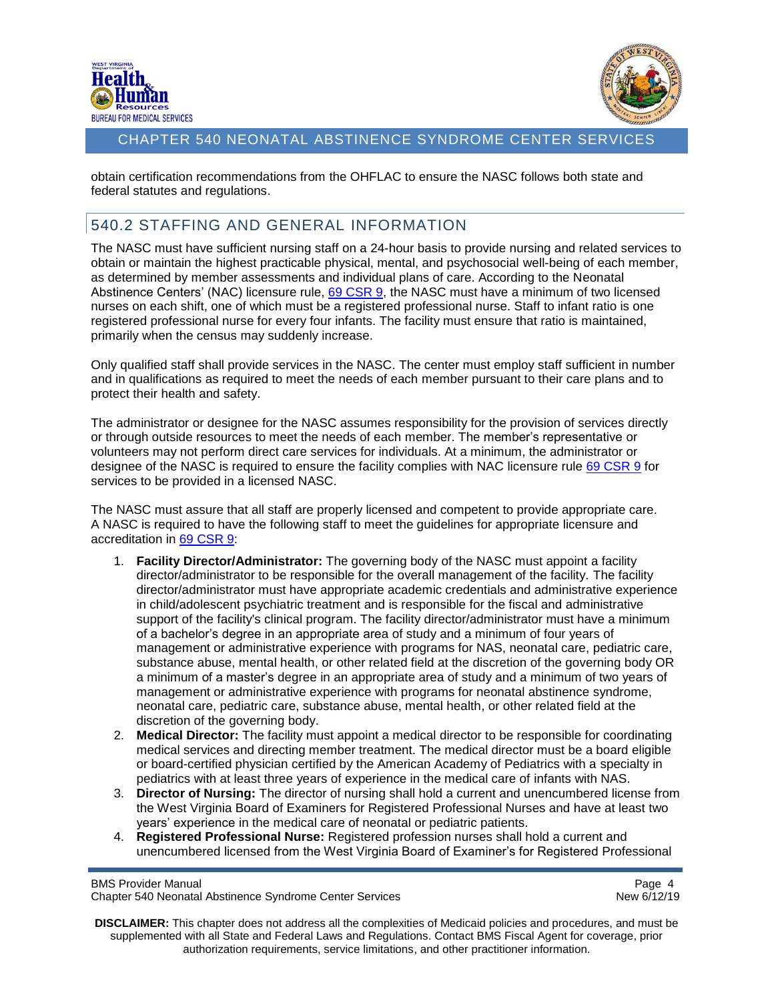



obtain certification recommendations from the OHFLAC to ensure the NASC follows both state and federal statutes and regulations.

### <span id="page-3-0"></span>540.2 STAFFING AND GENERAL INFORMATION

The NASC must have sufficient nursing staff on a 24-hour basis to provide nursing and related services to obtain or maintain the highest practicable physical, mental, and psychosocial well-being of each member, as determined by member assessments and individual plans of care. According to the Neonatal Abstinence Centers' (NAC) licensure rule, [69 CSR 9,](https://apps.sos.wv.gov/adlaw/csr/readfile.aspx?DocId=27502&Format=PDF) the NASC must have a minimum of two licensed nurses on each shift, one of which must be a registered professional nurse. Staff to infant ratio is one registered professional nurse for every four infants. The facility must ensure that ratio is maintained, primarily when the census may suddenly increase.

Only qualified staff shall provide services in the NASC. The center must employ staff sufficient in number and in qualifications as required to meet the needs of each member pursuant to their care plans and to protect their health and safety.

The administrator or designee for the NASC assumes responsibility for the provision of services directly or through outside resources to meet the needs of each member. The member's representative or volunteers may not perform direct care services for individuals. At a minimum, the administrator or designee of the NASC is required to ensure the facility complies with NAC licensure rule [69 CSR 9](https://apps.sos.wv.gov/adlaw/csr/readfile.aspx?DocId=27502&Format=PDF) for services to be provided in a licensed NASC.

The NASC must assure that all staff are properly licensed and competent to provide appropriate care. A NASC is required to have the following staff to meet the guidelines for appropriate licensure and accreditation in 69 [CSR 9:](https://apps.sos.wv.gov/adlaw/csr/readfile.aspx?DocId=27502&Format=PDF)

- 1. **Facility Director/Administrator:** The governing body of the NASC must appoint a facility director/administrator to be responsible for the overall management of the facility. The facility director/administrator must have appropriate academic credentials and administrative experience in child/adolescent psychiatric treatment and is responsible for the fiscal and administrative support of the facility's clinical program. The facility director/administrator must have a minimum of a bachelor's degree in an appropriate area of study and a minimum of four years of management or administrative experience with programs for NAS, neonatal care, pediatric care, substance abuse, mental health, or other related field at the discretion of the governing body OR a minimum of a master's degree in an appropriate area of study and a minimum of two years of management or administrative experience with programs for neonatal abstinence syndrome, neonatal care, pediatric care, substance abuse, mental health, or other related field at the discretion of the governing body.
- 2. **Medical Director:** The facility must appoint a medical director to be responsible for coordinating medical services and directing member treatment. The medical director must be a board eligible or board-certified physician certified by the American Academy of Pediatrics with a specialty in pediatrics with at least three years of experience in the medical care of infants with NAS.
- 3. **Director of Nursing:** The director of nursing shall hold a current and unencumbered license from the West Virginia Board of Examiners for Registered Professional Nurses and have at least two years' experience in the medical care of neonatal or pediatric patients.
- 4. **Registered Professional Nurse:** Registered profession nurses shall hold a current and unencumbered licensed from the West Virginia Board of Examiner's for Registered Professional

BMS Provider Manual Page 4<br>Chapter 540 Neonatal Abstinence Syndrome Center Services enter and the enter of the Revision of the Chapter 54 Chapter 540 Neonatal Abstinence Syndrome Center Services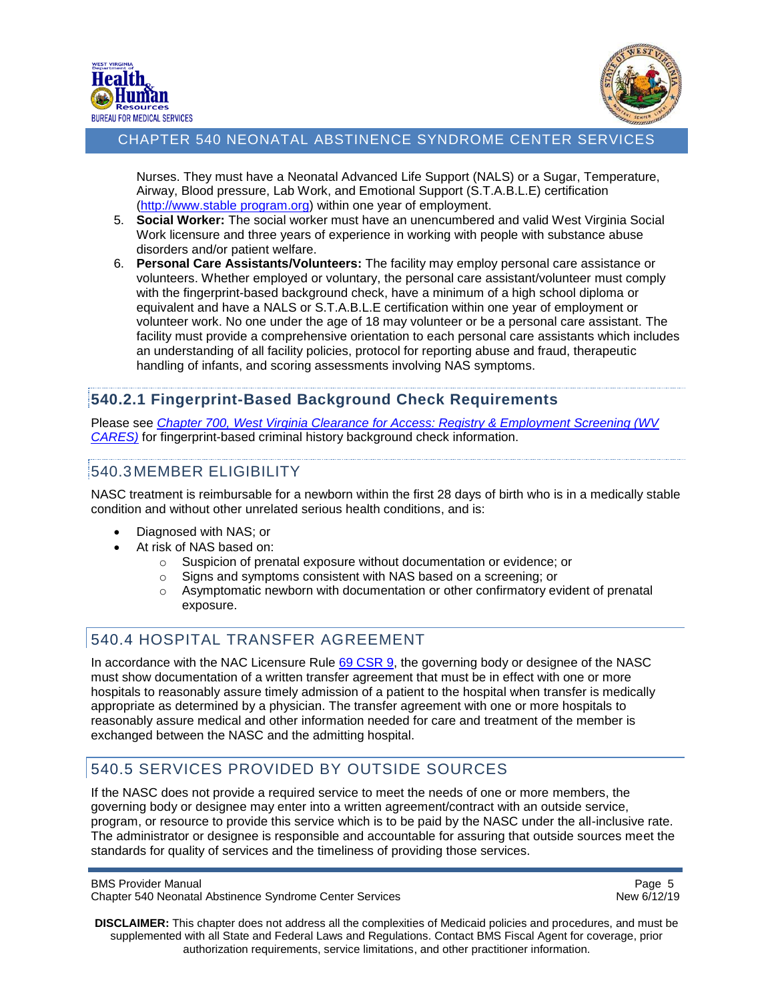



Nurses. They must have a Neonatal Advanced Life Support (NALS) or a Sugar, Temperature, Airway, Blood pressure, Lab Work, and Emotional Support (S.T.A.B.L.E) certification [\(http://www.stable](http://www.stableprogram.org/) program.org) within one year of employment.

- 5. **Social Worker:** The social worker must have an unencumbered and valid West Virginia Social Work licensure and three years of experience in working with people with substance abuse disorders and/or patient welfare.
- 6. **Personal Care Assistants/Volunteers:** The facility may employ personal care assistance or volunteers. Whether employed or voluntary, the personal care assistant/volunteer must comply with the fingerprint-based background check, have a minimum of a high school diploma or equivalent and have a NALS or S.T.A.B.L.E certification within one year of employment or volunteer work. No one under the age of 18 may volunteer or be a personal care assistant. The facility must provide a comprehensive orientation to each personal care assistants which includes an understanding of all facility policies, protocol for reporting abuse and fraud, therapeutic handling of infants, and scoring assessments involving NAS symptoms.

### <span id="page-4-0"></span>**540.2.1 Fingerprint-Based Background Check Requirements**

Please see *Chapter 700, [West Virginia Clearance for Access: Registry & Employment Screening \(WV](https://dhhr.wv.gov/bms/Pages/Manuals.aspx)  [CARES\)](https://dhhr.wv.gov/bms/Pages/Manuals.aspx)* for fingerprint-based criminal history background check information.

### <span id="page-4-1"></span>540.3MEMBER ELIGIBILITY

NASC treatment is reimbursable for a newborn within the first 28 days of birth who is in a medically stable condition and without other unrelated serious health conditions, and is:

- Diagnosed with NAS; or
- At risk of NAS based on:
	- o Suspicion of prenatal exposure without documentation or evidence; or
	- o Signs and symptoms consistent with NAS based on a screening; or
	- $\circ$  Asymptomatic newborn with documentation or other confirmatory evident of prenatal exposure.

# <span id="page-4-2"></span>540.4 HOSPITAL TRANSFER AGREEMENT

In accordance with the NAC Licensure Rule [69 CSR 9,](https://apps.sos.wv.gov/adlaw/csr/readfile.aspx?DocId=27502&Format=PDF) the governing body or designee of the NASC must show documentation of a written transfer agreement that must be in effect with one or more hospitals to reasonably assure timely admission of a patient to the hospital when transfer is medically appropriate as determined by a physician. The transfer agreement with one or more hospitals to reasonably assure medical and other information needed for care and treatment of the member is exchanged between the NASC and the admitting hospital.

# <span id="page-4-3"></span>540.5 SERVICES PROVIDED BY OUTSIDE SOURCES

If the NASC does not provide a required service to meet the needs of one or more members, the governing body or designee may enter into a written agreement/contract with an outside service, program, or resource to provide this service which is to be paid by the NASC under the all-inclusive rate. The administrator or designee is responsible and accountable for assuring that outside sources meet the standards for quality of services and the timeliness of providing those services.

```
BMS Provider Manual Page 5 and 2011 12 and 2012 12:30 and 2012 12:30 and 2012 12:30 and 2012 12:30 and 2012 12:30 and 2012 12:30 and 2012 12:30 and 2012 12:30 and 2012 12:30 and 2012 12:30 and 2012 12:30 and 2012 12:30 a
Chapter 540 Neonatal Abstinence Syndrome Center Services New 6/12/19
```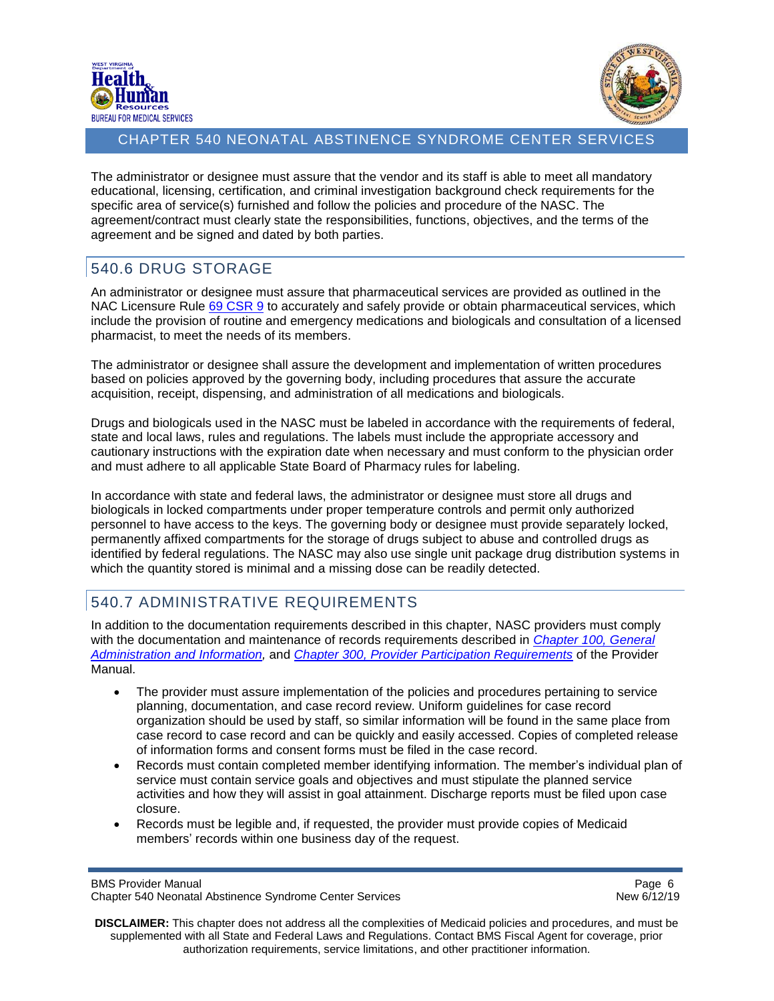



The administrator or designee must assure that the vendor and its staff is able to meet all mandatory educational, licensing, certification, and criminal investigation background check requirements for the specific area of service(s) furnished and follow the policies and procedure of the NASC. The agreement/contract must clearly state the responsibilities, functions, objectives, and the terms of the agreement and be signed and dated by both parties.

# <span id="page-5-0"></span>540.6 DRUG STORAGE

An administrator or designee must assure that pharmaceutical services are provided as outlined in the NAC Licensure Rule [69 CSR 9](https://apps.sos.wv.gov/adlaw/csr/readfile.aspx?DocId=27502&Format=PDF) to accurately and safely provide or obtain pharmaceutical services, which include the provision of routine and emergency medications and biologicals and consultation of a licensed pharmacist, to meet the needs of its members.

The administrator or designee shall assure the development and implementation of written procedures based on policies approved by the governing body, including procedures that assure the accurate acquisition, receipt, dispensing, and administration of all medications and biologicals.

Drugs and biologicals used in the NASC must be labeled in accordance with the requirements of federal, state and local laws, rules and regulations. The labels must include the appropriate accessory and cautionary instructions with the expiration date when necessary and must conform to the physician order and must adhere to all applicable State Board of Pharmacy rules for labeling.

In accordance with state and federal laws, the administrator or designee must store all drugs and biologicals in locked compartments under proper temperature controls and permit only authorized personnel to have access to the keys. The governing body or designee must provide separately locked, permanently affixed compartments for the storage of drugs subject to abuse and controlled drugs as identified by federal regulations. The NASC may also use single unit package drug distribution systems in which the quantity stored is minimal and a missing dose can be readily detected.

# <span id="page-5-1"></span>540.7 ADMINISTRATIVE REQUIREMENTS

In addition to the documentation requirements described in this chapter, NASC providers must comply with the documentation and maintenance of records requirements described in *[Chapter 100, General](https://dhhr.wv.gov/bms/Pages/Manuals.aspx)  [Administration and Information,](https://dhhr.wv.gov/bms/Pages/Manuals.aspx)* and *[Chapter 300, Provider Participation Requirements](https://dhhr.wv.gov/bms/Pages/Manuals.aspx)* of the Provider Manual.

- The provider must assure implementation of the policies and procedures pertaining to service planning, documentation, and case record review. Uniform guidelines for case record organization should be used by staff, so similar information will be found in the same place from case record to case record and can be quickly and easily accessed. Copies of completed release of information forms and consent forms must be filed in the case record.
- Records must contain completed member identifying information. The member's individual plan of service must contain service goals and objectives and must stipulate the planned service activities and how they will assist in goal attainment. Discharge reports must be filed upon case closure.
- Records must be legible and, if requested, the provider must provide copies of Medicaid members' records within one business day of the request.

BMS Provider Manual **Page 6** and **Page 6** and **Page 6** and **Page 6** and **Page 6 Page 6 Page 6 Page 6 Page 6 Page 6 Page 8 Page 8 Page 8 Page 8 Page 8 Page 8 Page 8 Page 8 Page 8 Page 8 Page** Chapter 540 Neonatal Abstinence Syndrome Center Services New 6/12/19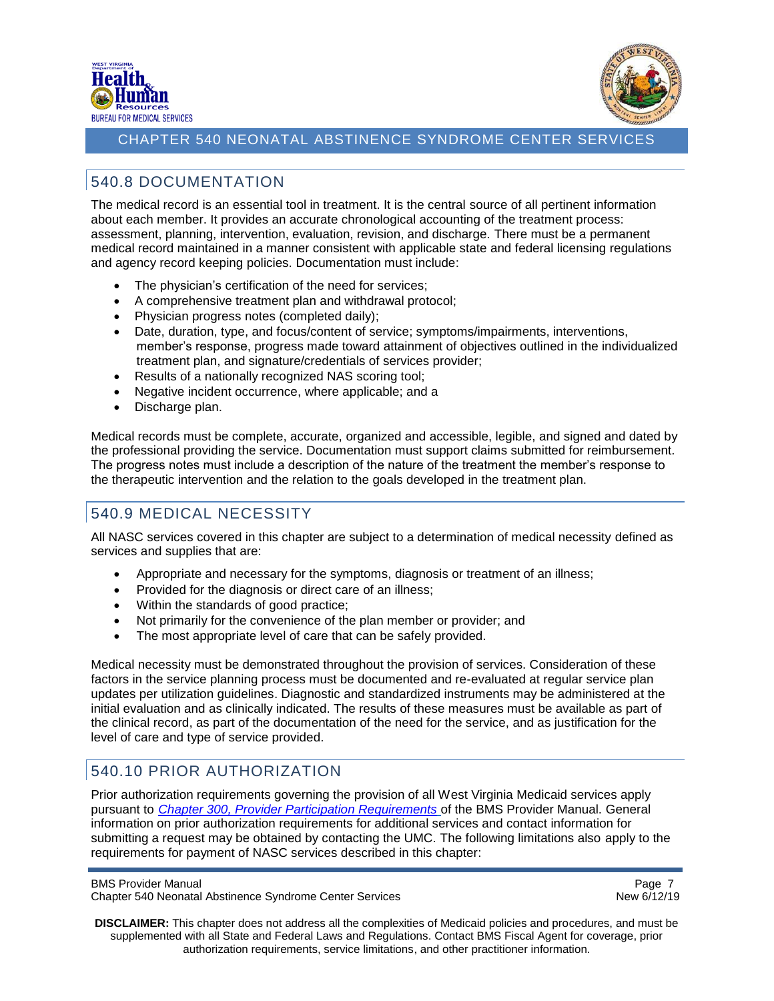



# <span id="page-6-0"></span>540.8 DOCUMENTATION

The medical record is an essential tool in treatment. It is the central source of all pertinent information about each member. It provides an accurate chronological accounting of the treatment process: assessment, planning, intervention, evaluation, revision, and discharge. There must be a permanent medical record maintained in a manner consistent with applicable state and federal licensing regulations and agency record keeping policies. Documentation must include:

- The physician's certification of the need for services;
- A comprehensive treatment plan and withdrawal protocol;
- Physician progress notes (completed daily);
- Date, duration, type, and focus/content of service; symptoms/impairments, interventions, member's response, progress made toward attainment of objectives outlined in the individualized treatment plan, and signature/credentials of services provider;
- Results of a nationally recognized NAS scoring tool;
- Negative incident occurrence, where applicable; and a
- Discharge plan.

Medical records must be complete, accurate, organized and accessible, legible, and signed and dated by the professional providing the service. Documentation must support claims submitted for reimbursement. The progress notes must include a description of the nature of the treatment the member's response to the therapeutic intervention and the relation to the goals developed in the treatment plan.

# <span id="page-6-1"></span>540.9 MEDICAL NECESSITY

All NASC services covered in this chapter are subject to a determination of medical necessity defined as services and supplies that are:

- Appropriate and necessary for the symptoms, diagnosis or treatment of an illness;
- Provided for the diagnosis or direct care of an illness;
- Within the standards of good practice;
- Not primarily for the convenience of the plan member or provider; and
- The most appropriate level of care that can be safely provided.

Medical necessity must be demonstrated throughout the provision of services. Consideration of these factors in the service planning process must be documented and re-evaluated at regular service plan updates per utilization guidelines. Diagnostic and standardized instruments may be administered at the initial evaluation and as clinically indicated. The results of these measures must be available as part of the clinical record, as part of the documentation of the need for the service, and as justification for the level of care and type of service provided.

# <span id="page-6-2"></span>540.10 PRIOR AUTHORIZATION

Prior authorization requirements governing the provision of all West Virginia Medicaid services apply pursuant to *[Chapter 300, Provider Participation Requirements](https://dhhr.wv.gov/bms/Pages/Manuals.aspx)* of the BMS Provider Manual. General information on prior authorization requirements for additional services and contact information for submitting a request may be obtained by contacting the UMC. The following limitations also apply to the requirements for payment of NASC services described in this chapter: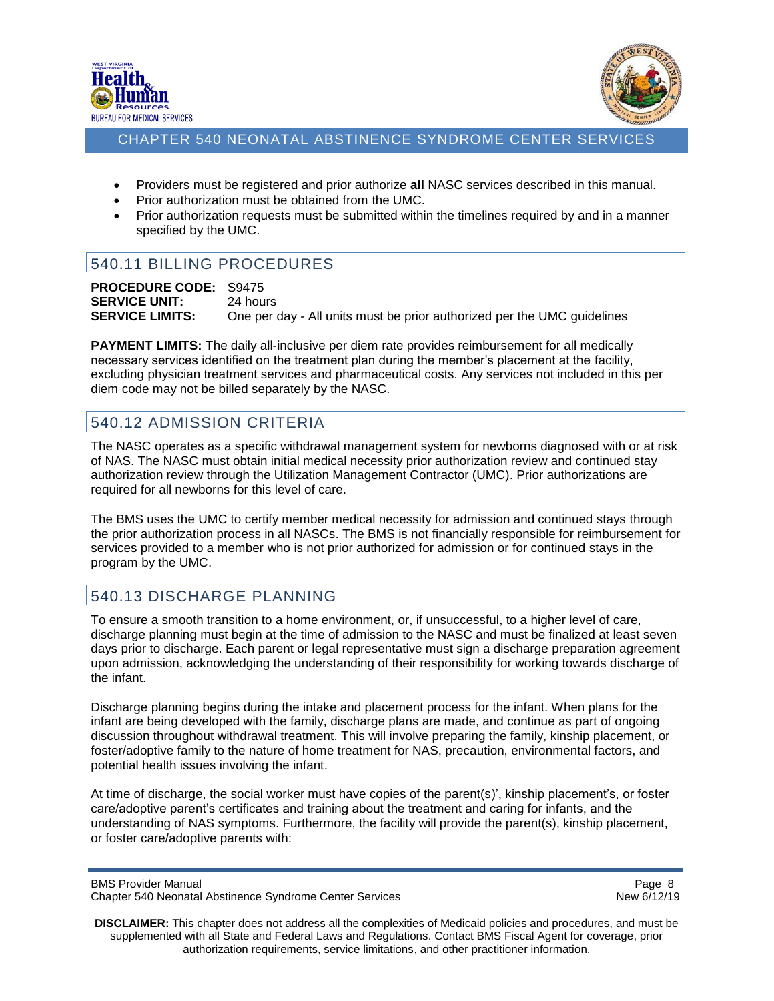



- Providers must be registered and prior authorize **all** NASC services described in this manual.
- Prior authorization must be obtained from the UMC.
- Prior authorization requests must be submitted within the timelines required by and in a manner specified by the UMC.

# <span id="page-7-0"></span>540.11 BILLING PROCEDURES

**PROCEDURE CODE:** S9475 **SERVICE UNIT:** 24 hours **SERVICE LIMITS:** One per day - All units must be prior authorized per the UMC guidelines

**PAYMENT LIMITS:** The daily all-inclusive per diem rate provides reimbursement for all medically necessary services identified on the treatment plan during the member's placement at the facility, excluding physician treatment services and pharmaceutical costs. Any services not included in this per diem code may not be billed separately by the NASC.

# <span id="page-7-1"></span>540.12 ADMISSION CRITERIA

The NASC operates as a specific withdrawal management system for newborns diagnosed with or at risk of NAS. The NASC must obtain initial medical necessity prior authorization review and continued stay authorization review through the Utilization Management Contractor (UMC). Prior authorizations are required for all newborns for this level of care.

The BMS uses the UMC to certify member medical necessity for admission and continued stays through the prior authorization process in all NASCs. The BMS is not financially responsible for reimbursement for services provided to a member who is not prior authorized for admission or for continued stays in the program by the UMC.

# <span id="page-7-2"></span>540.13 DISCHARGE PLANNING

To ensure a smooth transition to a home environment, or, if unsuccessful, to a higher level of care, discharge planning must begin at the time of admission to the NASC and must be finalized at least seven days prior to discharge. Each parent or legal representative must sign a discharge preparation agreement upon admission, acknowledging the understanding of their responsibility for working towards discharge of the infant.

Discharge planning begins during the intake and placement process for the infant. When plans for the infant are being developed with the family, discharge plans are made, and continue as part of ongoing discussion throughout withdrawal treatment. This will involve preparing the family, kinship placement, or foster/adoptive family to the nature of home treatment for NAS, precaution, environmental factors, and potential health issues involving the infant.

At time of discharge, the social worker must have copies of the parent(s)', kinship placement's, or foster care/adoptive parent's certificates and training about the treatment and caring for infants, and the understanding of NAS symptoms. Furthermore, the facility will provide the parent(s), kinship placement, or foster care/adoptive parents with:

BMS Provider Manual **Page 8** and 2011 12:30 and 2012 12:30 and 2012 12:30 and 2012 12:30 and 2012 12:30 and 2012 12:30 and 2012 12:30 and 2012 12:30 and 2012 12:30 and 2012 12:30 and 2012 12:30 and 2012 12:30 and 2012 12:3 Chapter 540 Neonatal Abstinence Syndrome Center Services New 6/12/19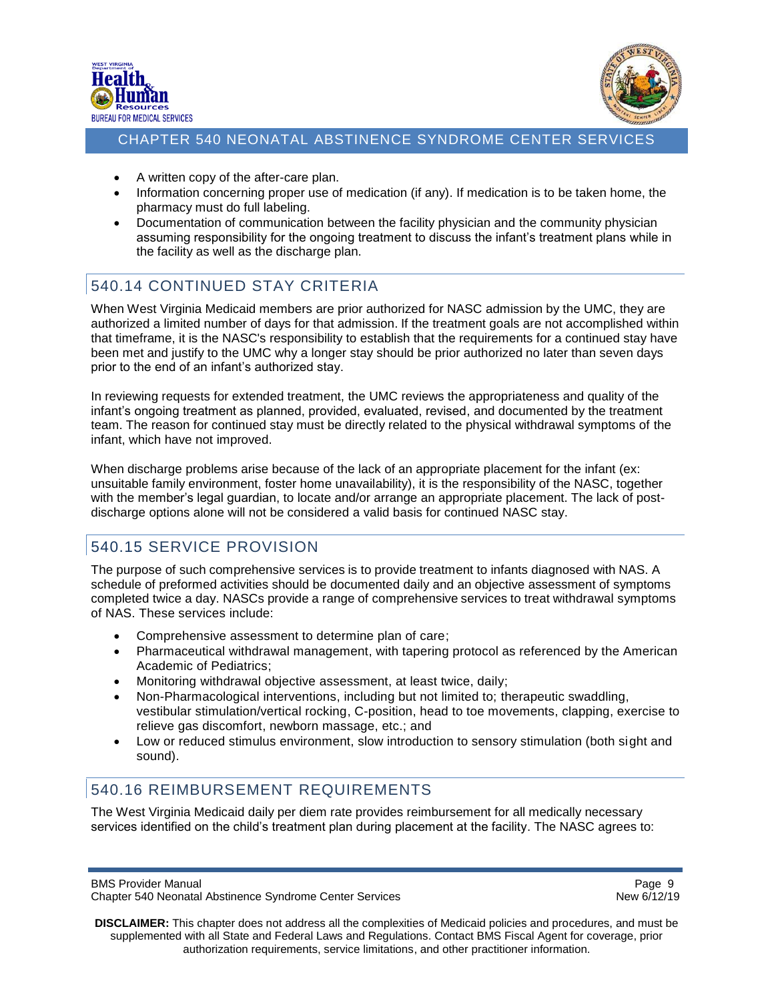



- A written copy of the after-care plan.
- Information concerning proper use of medication (if any). If medication is to be taken home, the pharmacy must do full labeling.
- Documentation of communication between the facility physician and the community physician assuming responsibility for the ongoing treatment to discuss the infant's treatment plans while in the facility as well as the discharge plan.

# <span id="page-8-0"></span>540.14 CONTINUED STAY CRITERIA

When West Virginia Medicaid members are prior authorized for NASC admission by the UMC, they are authorized a limited number of days for that admission. If the treatment goals are not accomplished within that timeframe, it is the NASC's responsibility to establish that the requirements for a continued stay have been met and justify to the UMC why a longer stay should be prior authorized no later than seven days prior to the end of an infant's authorized stay.

In reviewing requests for extended treatment, the UMC reviews the appropriateness and quality of the infant's ongoing treatment as planned, provided, evaluated, revised, and documented by the treatment team. The reason for continued stay must be directly related to the physical withdrawal symptoms of the infant, which have not improved.

When discharge problems arise because of the lack of an appropriate placement for the infant (ex: unsuitable family environment, foster home unavailability), it is the responsibility of the NASC, together with the member's legal guardian, to locate and/or arrange an appropriate placement. The lack of postdischarge options alone will not be considered a valid basis for continued NASC stay.

# <span id="page-8-1"></span>540.15 SERVICE PROVISION

The purpose of such comprehensive services is to provide treatment to infants diagnosed with NAS. A schedule of preformed activities should be documented daily and an objective assessment of symptoms completed twice a day. NASCs provide a range of comprehensive services to treat withdrawal symptoms of NAS. These services include:

- Comprehensive assessment to determine plan of care;
- Pharmaceutical withdrawal management, with tapering protocol as referenced by the American Academic of Pediatrics;
- Monitoring withdrawal objective assessment, at least twice, daily;
- Non-Pharmacological interventions, including but not limited to; therapeutic swaddling, vestibular stimulation/vertical rocking, C-position, head to toe movements, clapping, exercise to relieve gas discomfort, newborn massage, etc.; and
- Low or reduced stimulus environment, slow introduction to sensory stimulation (both sight and sound).

# <span id="page-8-2"></span>540.16 REIMBURSEMENT REQUIREMENTS

The West Virginia Medicaid daily per diem rate provides reimbursement for all medically necessary services identified on the child's treatment plan during placement at the facility. The NASC agrees to:

BMS Provider Manual **Page 9** and 2011 12:30 and 2012 12:30 and 2012 12:30 and 2012 12:30 and 2012 12:30 and 2012 12:30 and 2012 12:30 and 2012 12:30 and 2012 12:30 and 2012 12:30 and 2012 12:30 and 2012 12:30 and 2012 12:3 Chapter 540 Neonatal Abstinence Syndrome Center Services New 6/12/19